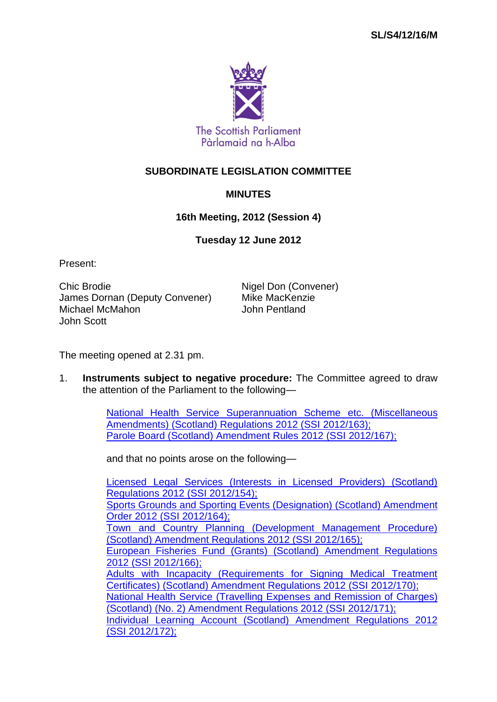

# **SUBORDINATE LEGISLATION COMMITTEE**

## **MINUTES**

### **16th Meeting, 2012 (Session 4)**

### **Tuesday 12 June 2012**

Present:

Chic Brodie **Nigel Don (Convener)** James Dornan (Deputy Convener) Mike MacKenzie Michael McMahon John Scott

The meeting opened at 2.31 pm.

1. **Instruments subject to negative procedure:** The Committee agreed to draw the attention of the Parliament to the following—

> [National Health Service Superannuation Scheme](http://www.legislation.gov.uk/ssi/2012/163/contents/made) etc. (Miscellaneous [Amendments\) \(Scotland\) Regulations 2012 \(SSI](http://www.legislation.gov.uk/ssi/2012/163/contents/made) 2012/163); [Parole Board \(Scotland\) Amendment Rules 2012 \(SSI](http://www.legislation.gov.uk/ssi/2012/167/contents/made) 2012/167);

and that no points arose on the following—

[Licensed Legal Services \(Interests in Licensed Providers\) \(Scotland\)](http://www.legislation.gov.uk/ssi/2012/154/contents/made)  [Regulations 2012 \(SSI](http://www.legislation.gov.uk/ssi/2012/154/contents/made) 2012/154); [Sports Grounds and Sporting Events \(Designation\) \(Scotland\) Amendment](http://www.legislation.gov.uk/ssi/2012/164/contents/made)  [Order 2012 \(SSI](http://www.legislation.gov.uk/ssi/2012/164/contents/made) 2012/164); [Town and Country Planning \(Development Management Procedure\)](http://www.legislation.gov.uk/ssi/2012/165/contents/made)  [\(Scotland\) Amendment Regulations 2012 \(SSI](http://www.legislation.gov.uk/ssi/2012/165/contents/made) 2012/165); [European Fisheries Fund \(Grants\) \(Scotland\) Amendment Regulations](http://www.legislation.gov.uk/ssi/2012/166/contents/made)  2012 (SSI [2012/166\);](http://www.legislation.gov.uk/ssi/2012/166/contents/made) [Adults with Incapacity \(Requirements for Signing Medical Treatment](http://www.legislation.gov.uk/ssi/2012/170/contents/made)  [Certificates\) \(Scotland\) Amendment Regulations 2012 \(SSI](http://www.legislation.gov.uk/ssi/2012/170/contents/made) 2012/170); [National Health Service \(Travelling Expenses and Remission of Charges\)](http://www.legislation.gov.uk/ssi/2012/171/contents/made)  [\(Scotland\) \(No. 2\) Amendment Regulations 2012 \(SSI](http://www.legislation.gov.uk/ssi/2012/171/contents/made) 2012/171); [Individual Learning Account \(Scotland\) Amendment Regulations 2012](http://www.legislation.gov.uk/ssi/2012/172/contents/made)  (SSI [2012/172\);](http://www.legislation.gov.uk/ssi/2012/172/contents/made)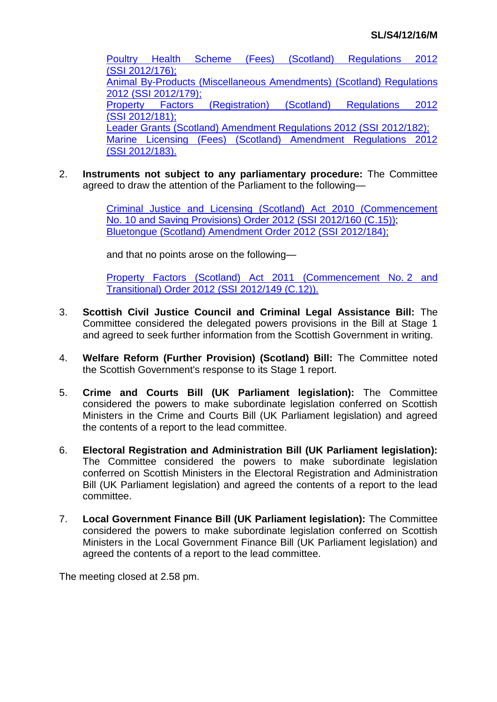[Poultry Health Scheme \(Fees\) \(Scotland\) Regulations 2012](http://www.legislation.gov.uk/ssi/2012/176/contents/made)  (SSI [2012/176\);](http://www.legislation.gov.uk/ssi/2012/176/contents/made) [Animal By-Products \(Miscellaneous Amendments\)](http://www.legislation.gov.uk/ssi/2012/179/contents/made) (Scotland) Regulations 2012 (SSI [2012/179\);](http://www.legislation.gov.uk/ssi/2012/179/contents/made) [Property Factors \(Registration\) \(Scotland\) Regulations 2012](http://www.legislation.gov.uk/ssi/2012/181/contents/made)  (SSI [2012/181\);](http://www.legislation.gov.uk/ssi/2012/181/contents/made) [Leader Grants \(Scotland\) Amendment Regulations 2012 \(SSI](http://www.legislation.gov.uk/ssi/2012/182/contents/made) 2012/182); [Marine Licensing \(Fees\) \(Scotland\) Amendment Regulations 2012](http://www.legislation.gov.uk/ssi/2012/183/contents/made)  (SSI [2012/183\).](http://www.legislation.gov.uk/ssi/2012/183/contents/made)

2. **Instruments not subject to any parliamentary procedure:** The Committee agreed to draw the attention of the Parliament to the following—

> [Criminal Justice and Licensing \(Scotland\) Act 2010 \(Commencement](http://www.legislation.gov.uk/ssi/2012/160/contents/made)  No. [10 and Saving Provisions\) Order 2012 \(SSI](http://www.legislation.gov.uk/ssi/2012/160/contents/made) 2012/160 (C.15)); [Bluetongue \(Scotland\) Amendment Order 2012 \(SSI](http://www.legislation.gov.uk/ssi/2012/184/contents/made) 2012/184);

and that no points arose on the following—

[Property Factors \(Scotland\) Act 2011 \(Commencement No.](http://www.legislation.gov.uk/ssi/2012/149/contents/made) 2 and [Transitional\) Order 2012 \(SSI](http://www.legislation.gov.uk/ssi/2012/149/contents/made) 2012/149 (C.12)).

- 3. **Scottish Civil Justice Council and Criminal Legal Assistance Bill:** The Committee considered the delegated powers provisions in the Bill at Stage 1 and agreed to seek further information from the Scottish Government in writing.
- 4. **Welfare Reform (Further Provision) (Scotland) Bill:** The Committee noted the Scottish Government's response to its Stage 1 report.
- 5. **Crime and Courts Bill (UK Parliament legislation):** The Committee considered the powers to make subordinate legislation conferred on Scottish Ministers in the Crime and Courts Bill (UK Parliament legislation) and agreed the contents of a report to the lead committee.
- 6. **Electoral Registration and Administration Bill (UK Parliament legislation):**  The Committee considered the powers to make subordinate legislation conferred on Scottish Ministers in the Electoral Registration and Administration Bill (UK Parliament legislation) and agreed the contents of a report to the lead committee.
- 7. **Local Government Finance Bill (UK Parliament legislation):** The Committee considered the powers to make subordinate legislation conferred on Scottish Ministers in the Local Government Finance Bill (UK Parliament legislation) and agreed the contents of a report to the lead committee.

The meeting closed at 2.58 pm.